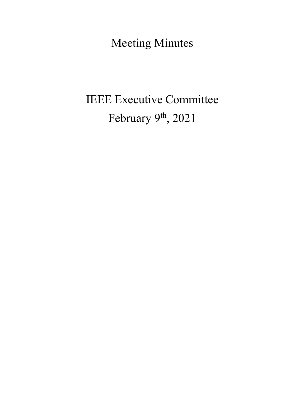Meeting Minutes

# IEEE Executive Committee February 9<sup>th</sup>, 2021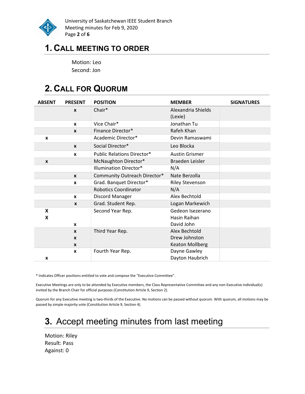

University of Saskatchewan IEEE Student Branch Meeting minutes for Feb 9, 2020 Page 2 of 6

### 1. CALL MEETING TO ORDER

Motion: Leo Second: Jon

# 2. CALL FOR QUORUM

| <b>ABSENT</b>    | <b>PRESENT</b>                               | <b>POSITION</b>                   | <b>MEMBER</b>                                            | <b>SIGNATURES</b> |
|------------------|----------------------------------------------|-----------------------------------|----------------------------------------------------------|-------------------|
|                  | $\mathbf{x}$                                 | Chair*                            | Alexandria Shields<br>(Lexie)                            |                   |
|                  | X                                            | Vice Chair*                       | Jonathan Tu                                              |                   |
|                  | $\boldsymbol{x}$                             | Finance Director*                 | Rafeh Khan                                               |                   |
| X                |                                              | Academic Director*                | Devin Ramaswami                                          |                   |
|                  | $\boldsymbol{x}$                             | Social Director*                  | Leo Blocka                                               |                   |
|                  | X                                            | <b>Public Relations Director*</b> | <b>Austin Grismer</b>                                    |                   |
| $\boldsymbol{x}$ |                                              | McNaughton Director*              | Braeden Leisler                                          |                   |
|                  |                                              | <b>Illumination Director*</b>     | N/A                                                      |                   |
|                  | $\boldsymbol{x}$                             | Community Outreach Director*      | Nate Berzolla                                            |                   |
|                  | $\boldsymbol{x}$                             | Grad. Banquet Director*           | <b>Riley Stevenson</b>                                   |                   |
|                  |                                              | <b>Robotics Coordinator</b>       | N/A                                                      |                   |
|                  | $\mathbf{x}$                                 | Discord Manager                   | Alex Bechtold                                            |                   |
|                  | $\mathbf{x}$                                 | Grad. Student Rep.                | Logan Markewich                                          |                   |
| X<br>X           | $\mathbf{x}$                                 | Second Year Rep.                  | Gedeon Isezerano<br>Hasin Raihan<br>David John           |                   |
|                  | $\mathbf{x}$<br>$\mathbf{x}$<br>$\mathbf{x}$ | Third Year Rep.                   | Alex Bechtold<br>Drew Johnston<br><b>Keaton Mollberg</b> |                   |
| X                | $\mathbf{x}$                                 | Fourth Year Rep.                  | Dayne Gawley<br>Dayton Haubrich                          |                   |

\* Indicates Officer positions entitled to vote and compose the "Executive Committee".

Executive Meetings are only to be attended by Executive members, the Class Representative Committee and any non-Executive individual(s) invited by the Branch Chair for official purposes (Constitution Article 9, Section 2).

Quorum for any Executive meeting is two-thirds of the Executive. No motions can be passed without quorum. With quorum, all motions may be passed by simple majority vote (Constitution Article 9, Section 4).

# 3. Accept meeting minutes from last meeting

Motion: Riley Result: Pass Against: 0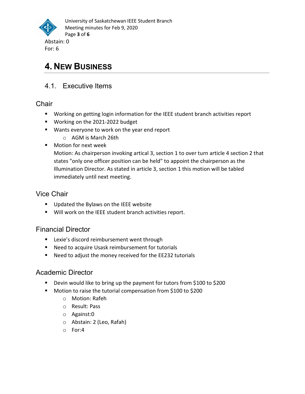

# 4. NEW BUSINESS

### 4.1. Executive Items

**Chair** 

- Working on getting login information for the IEEE student branch activities report
- Working on the 2021-2022 budget
- Wants everyone to work on the year end report
	- o AGM is March 26th
- **Notion for next week**

Motion: As chairperson invoking artical 3, section 1 to over turn article 4 section 2 that states "only one officer position can be held" to appoint the chairperson as the Illumination Director. As stated in article 3, section 1 this motion will be tabled immediately until next meeting.

### Vice Chair

- **Updated the Bylaws on the IEEE website**
- Will work on the IEEE student branch activities report.

### Financial Director

- **EXECT:** Lexie's discord reimbursement went through
- Need to acquire Usask reimbursement for tutorials
- Need to adjust the money received for the EE232 tutorials

### Academic Director

- Devin would like to bring up the payment for tutors from \$100 to \$200
- **Motion to raise the tutorial compensation from \$100 to \$200** 
	- o Motion: Rafeh
	- o Result: Pass
	- o Against:0
	- o Abstain: 2 (Leo, Rafah)
	- o For:4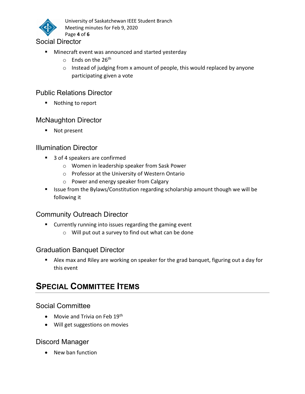

University of Saskatchewan IEEE Student Branch Meeting minutes for Feb 9, 2020 Page 4 of 6

#### Social Director

- **Minecraft event was announced and started yesterday** 
	- o Ends on the 26<sup>th</sup>
	- o Instead of judging from x amount of people, this would replaced by anyone participating given a vote

#### Public Relations Director

■ Nothing to report

#### McNaughton Director

■ Not present

#### Illumination Director

- 3 of 4 speakers are confirmed
	- o Women in leadership speaker from Sask Power
	- o Professor at the University of Western Ontario
	- o Power and energy speaker from Calgary
- Issue from the Bylaws/Constitution regarding scholarship amount though we will be following it

#### Community Outreach Director

- Currently running into issues regarding the gaming event
	- o Will put out a survey to find out what can be done

#### Graduation Banquet Director

 Alex max and Riley are working on speaker for the grad banquet, figuring out a day for this event

### **SPECIAL COMMITTEE ITEMS**

#### Social Committee

- $\bullet$  Movie and Trivia on Feb 19<sup>th</sup>
- Will get suggestions on movies

#### Discord Manager

• New ban function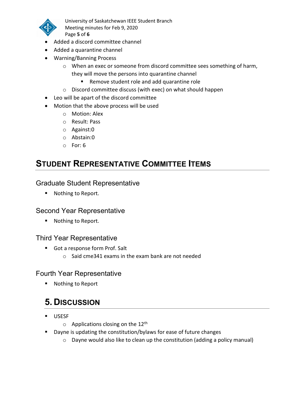

University of Saskatchewan IEEE Student Branch Meeting minutes for Feb 9, 2020 Page 5 of 6

- Added a discord committee channel
- Added a quarantine channel
- Warning/Banning Process
	- o When an exec or someone from discord committee sees something of harm, they will move the persons into quarantine channel
		- Remove student role and add quarantine role
	- o Discord committee discuss (with exec) on what should happen
- Leo will be apart of the discord committee
- Motion that the above process will be used
	- o Motion: Alex
	- o Result: Pass
	- o Against:0
	- o Abstain:0
	- o For: 6

### STUDENT REPRESENTATIVE COMMITTEE ITEMS

#### Graduate Student Representative

**Nothing to Report.** 

#### Second Year Representative

■ Nothing to Report.

#### Third Year Representative

- Got a response form Prof. Salt
	- o Said cme341 exams in the exam bank are not needed

#### Fourth Year Representative

■ Nothing to Report

### 5. DISCUSSION

- USESF
	- $\circ$  Applications closing on the 12<sup>th</sup>
- Dayne is updating the constitution/bylaws for ease of future changes
	- o Dayne would also like to clean up the constitution (adding a policy manual)